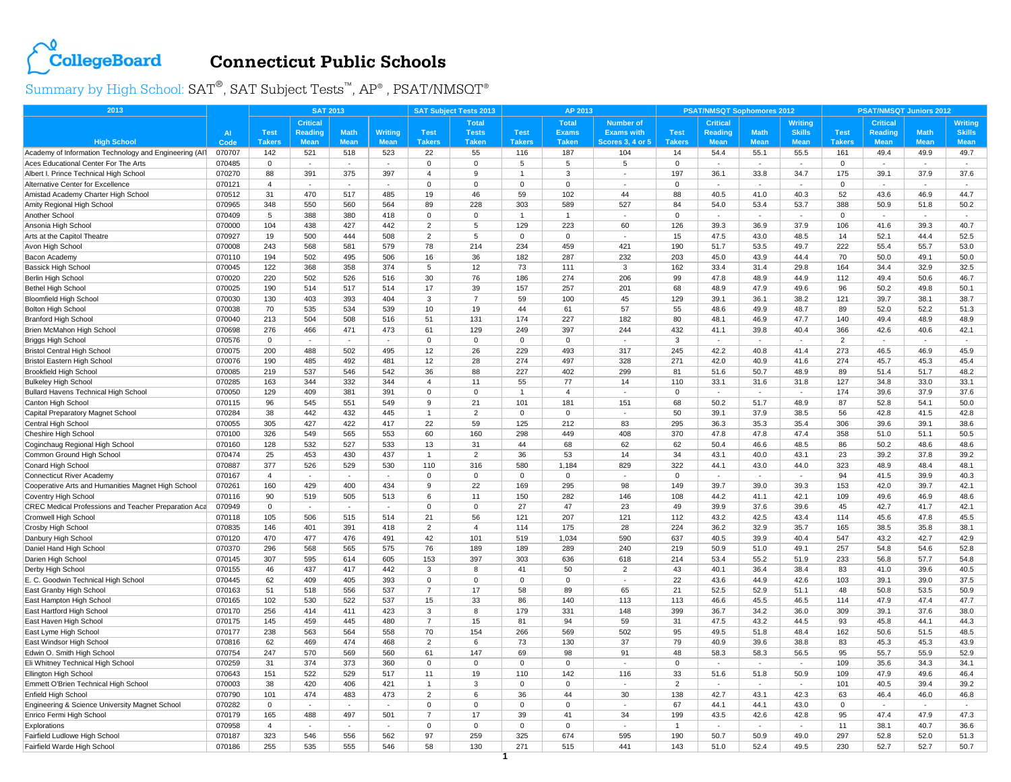

## **Connecticut Public Schools**

Summary by High School:  $\text{SAT}^{\circledast}, \text{SAT}$  Subject Tests™,  $\text{AP}^{\circledast}$  ,  $\text{PSAT/NMSOT}^{\circledast}$ 

| 2013                                                   |        |                |                          | <b>SAT 2013</b>          |             | <b>SAT Subject Tests 201</b> |                | <b>AP 201</b>  |                |                          | <b>PSAT/NMSQT Sophomores 2012</b> |                          |                          |                | <b>PSAT/NMSQT Juniors 201</b> |                 |             |                |
|--------------------------------------------------------|--------|----------------|--------------------------|--------------------------|-------------|------------------------------|----------------|----------------|----------------|--------------------------|-----------------------------------|--------------------------|--------------------------|----------------|-------------------------------|-----------------|-------------|----------------|
|                                                        |        |                | <b>Critical</b>          |                          |             |                              | <b>Total</b>   |                | <b>Total</b>   | <b>Number of</b>         |                                   | <b>Critical</b>          |                          | <b>Writing</b> |                               | <b>Critical</b> |             | Writinc        |
|                                                        | AI     | <b>Test</b>    | <b>Reading</b>           | <b>Math</b>              | Writing     | <b>Test</b>                  | <b>Tests</b>   | <b>Test</b>    | <b>Exams</b>   | <b>Exams with</b>        | <b>Test</b>                       | <b>Reading</b>           | <b>Math</b>              | <b>Skills</b>  | <b>Test</b>                   | Reading         | <b>Math</b> | <b>Skills</b>  |
| <b>High School</b>                                     | Code   | <b>Takers</b>  | <b>Mean</b>              | <b>Mean</b>              | <b>Mean</b> | <b>Takers</b>                | <b>Taken</b>   | <b>Takers</b>  | <b>Taken</b>   | <b>Scores 3, 4 or 5</b>  | <b>Takers</b>                     | <b>Mean</b>              | <b>Mean</b>              | <b>Mean</b>    | <b>Takers</b>                 | <b>Mean</b>     | <b>Mean</b> | <b>Mean</b>    |
| Academy of Information Technology and Engineering (AIT | 070707 | 142            | 521                      | 518                      | 523         | 22                           | 55             | 116            | 187            | 104                      | 14                                | 54.4                     | 55.1                     | 55.5           | 161                           | 49.4            | 49.9        | 49.7           |
| Aces Educational Center For The Arts                   | 070485 | $\mathbf{0}$   | ×                        | $\sim$                   | $\sim$      | $\Omega$                     | $\mathbf{0}$   | 5              | $\overline{5}$ | 5                        | $\Omega$                          | ×.                       | ÷                        | $\sim$         | $\mathbf 0$                   | $\sim$          | $\sim$      | ×.             |
| Albert I. Prince Technical High School                 | 070270 | 88             | 391                      | 375                      | 397         | $\overline{4}$               | 9              | 1              | 3              | $\overline{\phantom{a}}$ | 197                               | 36.1                     | 33.8                     | 34.7           | 175                           | 39.1            | 37.9        | 37.6           |
| <b>Alternative Center for Excellence</b>               | 070121 | $\overline{4}$ |                          |                          |             | $\Omega$                     | $\mathbf 0$    | $\mathbf 0$    | $\mathbf 0$    |                          | $\mathbf 0$                       |                          |                          |                | $\mathbf 0$                   |                 |             | ÷              |
| Amistad Academy Charter High School                    | 070512 | 31             | 470                      | 517                      | 485         | 19                           | 46             | 59             | 102            | 44                       | 88                                | 40.5                     | 41.0                     | 40.3           | 52                            | 43.6            | 46.9        | 44.7           |
| Amity Regional High School                             | 070965 | 348            | 550                      | 560                      | 564         | 89                           | 228            | 303            | 589            | 527                      | 84                                | 54.0                     | 53.4                     | 53.7           | 388                           | 50.9            | 51.8        | 50.2           |
| Another School                                         | 070409 | 5              | 388                      | 380                      | 418         | $\Omega$                     | $\Omega$       | $\mathbf{1}$   | $\mathbf{1}$   | ÷,                       | $\Omega$                          | ä,                       | $\overline{\phantom{a}}$ | $\sim$         | $\Omega$                      | $\sim$          | $\sim$      | $\mathbf{r}$   |
| Ansonia High School                                    | 070000 | 104            | 438                      | 427                      | 442         | $\overline{2}$               | 5              | 129            | 223            | 60                       | 126                               | 39.3                     | 36.9                     | 37.9           | 106                           | 41.6            | 39.3        | 40.7           |
| Arts at the Capitol Theatre                            | 070927 | 19             | 500                      | 444                      | 508         | $\overline{2}$               | 5              | $\Omega$       | $\Omega$       |                          | 15                                | 47.5                     | 43.0                     | 48.5           | 14                            | 52.1            | 44.4        | 52.5           |
| Avon High School                                       | 070008 | 243            | 568                      | 581                      | 579         | 78                           | 214            | 234            | 459            | 421                      | 190                               | 51.7                     | 53.5                     | 49.7           | 222                           | 55.4            | 55.7        | 53.0           |
| Bacon Academy                                          | 070110 | 194            | 502                      | 495                      | 506         | 16                           | 36             | 182            | 287            | 232                      | 203                               | 45.0                     | 43.9                     | 44.4           | 70                            | 50.0            | 49.1        | 50.0           |
| Bassick High Schoo                                     | 070045 | 122            | 368                      | 358                      | 374         | 5                            | 12             | 73             | 111            | 3                        | 162                               | 33.4                     | 31.4                     | 29.8           | 164                           | 34.4            | 32.9        | 32.5           |
| Berlin High School                                     | 070020 | 220            | 502                      | 526                      | 516         | 30                           | 76             | 186            | 274            | 206                      | 99                                | 47.8                     | 48.9                     | 44.9           | 112                           | 49.4            | 50.6        | 46.7           |
| Bethel High School                                     | 070025 | 190            | 514                      | 517                      | 514         | 17                           | 39             | 157            | 257            | 201                      | 68                                | 48.9                     | 47.9                     | 49.6           | 96                            | 50.2            | 49.8        | 50.1           |
| <b>Bloomfield High School</b>                          | 070030 | 130            | 403                      | 393                      | 404         | 3                            | $\overline{7}$ | 59             | 100            | 45                       | 129                               | 39.1                     | 36.1                     | 38.2           | 121                           | 39.7            | 38.1        | 38.7           |
| Bolton High School                                     | 070038 | 70             | 535                      | 534                      | 539         | 10                           | 19             | 44             | 61             | 57                       | 55                                | 48.6                     | 49.9                     | 48.7           | 89                            | 52.0            | 52.2        | 51.3           |
| <b>Branford High School</b>                            | 070040 | 213            | 504                      | 508                      | 516         | 51                           | 131            | 174            | 227            | 182                      | 80                                | 48.1                     | 46.9                     | 47.7           | 140                           | 49.4            | 48.9        | 48.9           |
| Brien McMahon High School                              | 070698 | 276            | 466                      | 471                      | 473         | 61                           | 129            | 249            | 397            | 244                      | 432                               | 41.1                     | 39.8                     | 40.4           | 366                           | 42.6            | 40.6        | 42.1           |
| <b>Briggs High School</b>                              | 070576 | $\mathbf 0$    |                          |                          |             | 0                            | $^{\circ}$     | $\mathbf 0$    | $\mathbf 0$    |                          | 3                                 |                          |                          |                | $\overline{2}$                |                 |             | $\blacksquare$ |
| <b>Bristol Central High School</b>                     | 070075 | 200            | 488                      | 502                      | 495         | 12                           | 26             | 229            | 493            | 317                      | 245                               | 42.2                     | 40.8                     | 41.4           | 273                           | 46.5            | 46.9        | 45.9           |
| Bristol Eastern High School                            | 070076 | 190            | 485                      | 492                      | 481         | 12                           | 28             | 274            | 497            | 328                      | 271                               | 42.0                     | 40.9                     | 41.6           | 274                           | 45.7            | 45.3        | 45.4           |
| <b>Brookfield High School</b>                          | 070085 | 219            | 537                      | 546                      | 542         | 36                           | 88             | 227            | 402            | 299                      | 81                                | 51.6                     | 50.7                     | 48.9           | 89                            | 51.4            | 51.7        | 48.2           |
| <b>Bulkeley High School</b>                            | 070285 | 163            | 344                      | 332                      | 344         | $\overline{4}$               | 11             | 55             | 77             | 14                       | 110                               | 33.1                     | 31.6                     | 31.8           | 127                           | 34.8            | 33.0        | 33.1           |
| Bullard Havens Technical High School                   | 070050 | 129            | 409                      | 381                      | 391         | $\Omega$                     | $\mathbf{0}$   | $\overline{1}$ | $\overline{4}$ |                          | $\Omega$                          |                          |                          |                | 174                           | 39.6            | 37.9        | 37.6           |
| Canton High School                                     | 070115 | 96             | 545                      | 551                      | 549         | $\mathbf{Q}$                 | 21             | 101            | 181            | 151                      | 68                                | 50.2                     | 51.7                     | 48.9           | 87                            | 52.8            | 54.1        | 50.0           |
| Capital Preparatory Magnet School                      | 070284 | 38             | 442                      | 432                      | 445         | 1                            | $\overline{2}$ | $^{\circ}$     | $\mathbf 0$    | ÷,                       | 50                                | 39.1                     | 37.9                     | 38.5           | 56                            | 42.8            | 41.5        | 42.8           |
| Central High School                                    | 070055 | 305            | 427                      | 422                      | 417         | 22                           | 59             | 125            | 212            | 83                       | 295                               | 36.3                     | 35.3                     | 35.4           | 306                           | 39.6            | 39.1        | 38.6           |
| Cheshire High School                                   | 070100 | 326            | 549                      | 565                      | 553         | 60                           | 160            | 298            | 449            | 408                      | 370                               | 47.8                     | 47.8                     | 47.4           | 358                           | 51.0            | 51.1        | 50.5           |
| Coginchaug Regional High School                        | 070160 | 128            | 532                      | 527                      | 533         | 13                           | 31             | 44             | 68             | 62                       | 62                                | 50.4                     | 46.6                     | 48.5           | 86                            | 50.2            | 48.6        | 48.6           |
| Common Ground High School                              | 070474 | 25             | 453                      | 430                      | 437         | $\overline{1}$               | 2              | 36             | 53             | 14                       | 34                                | 43.1                     | 40.0                     | 43.1           | 23                            | 39.2            | 37.8        | 39.2           |
| Conard High School                                     | 070887 | 377            | 526                      | 529                      | 530         | 110                          | 316            | 580            | 1,184          | 829                      | 322                               | 44.1                     | 43.0                     | 44.0           | 323                           | 48.9            | 48.4        | 48.1           |
| <b>Connecticut River Academy</b>                       | 070167 | $\overline{4}$ | $\overline{\phantom{a}}$ | $\overline{\phantom{a}}$ | $\sim$      | $\mathbf 0$                  | $\mathbf 0$    | $\mathbf 0$    | $\mathbf 0$    | $\overline{\phantom{a}}$ | $\mathbf 0$                       | $\overline{\phantom{a}}$ | $\overline{\phantom{a}}$ | $\sim$         | 94                            | 41.5            | 39.9        | 40.3           |
| Cooperative Arts and Humanities Magnet High School     | 070261 | 160            | 429                      | 400                      | 434         | 9                            | 22             | 169            | 295            | 98                       | 149                               | 39.7                     | 39.0                     | 39.3           | 153                           | 42.0            | 39.7        | 42.1           |
| Coventry High School                                   | 070116 | 90             | 519                      | 505                      | 513         | 6                            | 11             | 150            | 282            | 146                      | 108                               | 44.2                     | 41.1                     | 42.1           | 109                           | 49.6            | 46.9        | 48.6           |
| CREC Medical Professions and Teacher Preparation Aca   | 070949 | $\Omega$       | ×.                       | ×.                       | $\sim$      | $\Omega$                     | $\Omega$       | 27             | 47             | 23                       | 49                                | 39.9                     | 37.6                     | 39.6           | 45                            | 42.7            | 41.7        | 42.1           |
| Cromwell High School                                   | 070118 | 105            | 506                      | 515                      | 514         | 21                           | 56             | 121            | 207            | 121                      | 112                               | 43.2                     | 42.5                     | 43.4           | 114                           | 45.6            | 47.8        | 45.5           |
| Crosby High School                                     | 070835 | 146            | 401                      | 391                      | 418         | $\overline{2}$               | $\overline{4}$ | 114            | 175            | 28                       | 224                               | 36.2                     | 32.9                     | 35.7           | 165                           | 38.5            | 35.8        | 38.1           |
| Danbury High School                                    | 070120 | 470            | 477                      | 476                      | 491         | 42                           | 101            | 519            | 1,034          | 590                      | 637                               | 40.5                     | 39.9                     | 40.4           | 547                           | 43.2            | 42.7        | 42.9           |
| Daniel Hand High School                                | 070370 | 296            | 568                      | 565                      | 575         | 76                           | 189            | 189            | 289            | 240                      | 219                               | 50.9                     | 51.0                     | 49.1           | 257                           | 54.8            | 54.6        | 52.8           |
| Darien High School                                     | 070145 | 307            | 595                      | 614                      | 605         | 153                          | 397            | 303            | 636            | 618                      | 214                               | 53.4                     | 55.2                     | 51.9           | 233                           | 56.8            | 57.7        | 54.8           |
| Derby High School                                      | 070155 | 46             | 437                      | 417                      | 442         | 3                            | 8              | 41             | 50             | $\overline{2}$           | 43                                | 40.1                     | 36.4                     | 38.4           | 83                            | 41.0            | 39.6        | 40.5           |
| E. C. Goodwin Technical High School                    | 070445 | 62             | 409                      | 405                      | 393         | $\Omega$                     | $\Omega$       | $\overline{0}$ | $\Omega$       |                          | 22                                | 43.6                     | 44.9                     | 42.6           | 103                           | 39.1            | 39.0        | 37.5           |
| East Granby High School                                | 070163 | 51             | 518                      | 556                      | 537         | $\overline{7}$               | 17             | 58             | 89             | 65                       | 21                                | 52.5                     | 52.9                     | 51.1           | 48                            | 50.8            | 53.5        | 50.9           |
| East Hampton High School                               | 070165 | 102            | 530                      | 522                      | 537         | 15                           | 33             | 86             | 140            | 113                      | 113                               | 46.6                     | 45.5                     | 46.5           | 114                           | 47.9            | 47.4        | 47.7           |
| East Hartford High Schoo                               | 070170 | 256            | 414                      | 411                      | 423         | 3                            | 8              | 179            | 331            | 148                      | 399                               | 36.7                     | 34.2                     | 36.0           | 309                           | 39.1            | 37.6        | 38.0           |
| East Haven High School                                 | 070175 | 145            | 459                      | 445                      | 480         | $\overline{7}$               | 15             | 81             | 94             | 59                       | 31                                | 47.5                     | 43.2                     | 44.5           | 93                            | 45.8            | 44.1        | 44.3           |
| East Lyme High School                                  | 070177 | 238            | 563                      | 564                      | 558         | 70                           | 154            | 266            | 569            | 502                      | 95                                | 49.5                     | 51.8                     | 48.4           | 162                           | 50.6            | 51.5        | 48.5           |
| East Windsor High School                               | 070816 | 62             | 469                      | 474                      | 468         | $\overline{2}$               | 6              | 73             | 130            | 37                       | 79                                | 40.9                     | 39.6                     | 38.8           | 83                            | 45.3            | 45.3        | 43.9           |
| Edwin O. Smith High Schoo                              | 070754 | 247            | 570                      | 569                      | 560         | 61                           | 147            | 69             | 98             | 91                       | 48                                | 58.3                     | 58.3                     | 56.5           | 95                            | 55.7            | 55.9        | 52.9           |
| Eli Whitney Technical High School                      | 070259 | 31             | 374                      | 373                      | 360         | $\mathbf 0$                  | $\mathbf 0$    | $\mathbf 0$    | $\mathbf 0$    | $\ddot{\phantom{1}}$     | $\mathbf 0$                       |                          | $\sim$                   |                | 109                           | 35.6            | 34.3        | 34.1           |
| Ellington High School                                  | 070643 | 151            | 522                      | 529                      | 517         | 11                           | 19             | 110            | 142            | 116                      | 33                                | 51.6                     | 51.8                     | 50.9           | 109                           | 47.9            | 49.6        | 46.4           |
| Emmett O'Brien Technical High School                   | 070003 | 38             | 420                      | 406                      | 421         | $\overline{1}$               | 3              | $\mathbf 0$    | $\mathbf 0$    | ÷,                       | $\overline{2}$                    |                          |                          | $\overline{a}$ | 101                           | 40.5            | 39.4        | 39.2           |
| Enfield High School                                    | 070790 | 101            | 474                      | 483                      | 473         | $\overline{2}$               | 6              | 36             | 44             | 30                       | 138                               | 42.7                     | 43.1                     | 42.3           | 63                            | 46.4            | 46.0        | 46.8           |
| Engineering & Science University Magnet School         | 070282 | $\Omega$       | ×.                       | ÷,                       | ÷.          | $\Omega$                     | $\Omega$       | $\Omega$       | $\Omega$       | ÷,                       | 67                                | 44.1                     | 44.1                     | 43.0           | $\Omega$                      | $\sim$          | $\sim$      | $\mathbf{r}$   |
| Enrico Fermi High School                               | 070179 | 165            | 488                      | 497                      | 501         | 7                            | 17             | 39             | 41             | 34                       | 199                               | 43.5                     | 42.6                     | 42.8           | 95                            | 47.4            | 47.9        | 47.3           |
| Explorations                                           | 070958 | $\overline{4}$ | $\sim$                   | $\sim$                   | $\sim$      | $\Omega$                     | $\Omega$       | $\Omega$       | $\mathbf{0}$   | $\sim$                   | $\mathbf{1}$                      | $\sim$                   | $\sim$                   | $\sim$         | 11                            | 38.1            | 40.7        | 36.6           |
| Fairfield Ludlowe High School                          | 070187 | 323            | 546                      | 556                      | 562         | 97                           | 259            | 325            | 674            | 595                      | 190                               | 50.7                     | 50.9                     | 49.0           | 297                           | 52.8            | 52.0        | 51.3           |
| Fairfield Warde High School                            | 070186 | 255            | 535                      | 555                      | 546         | 58                           | 130            | 271            | 515            | 441                      | 143                               | 51.0                     | 52.4                     | 49.5           | 230                           | 52.7            | 52.7        | 50.7           |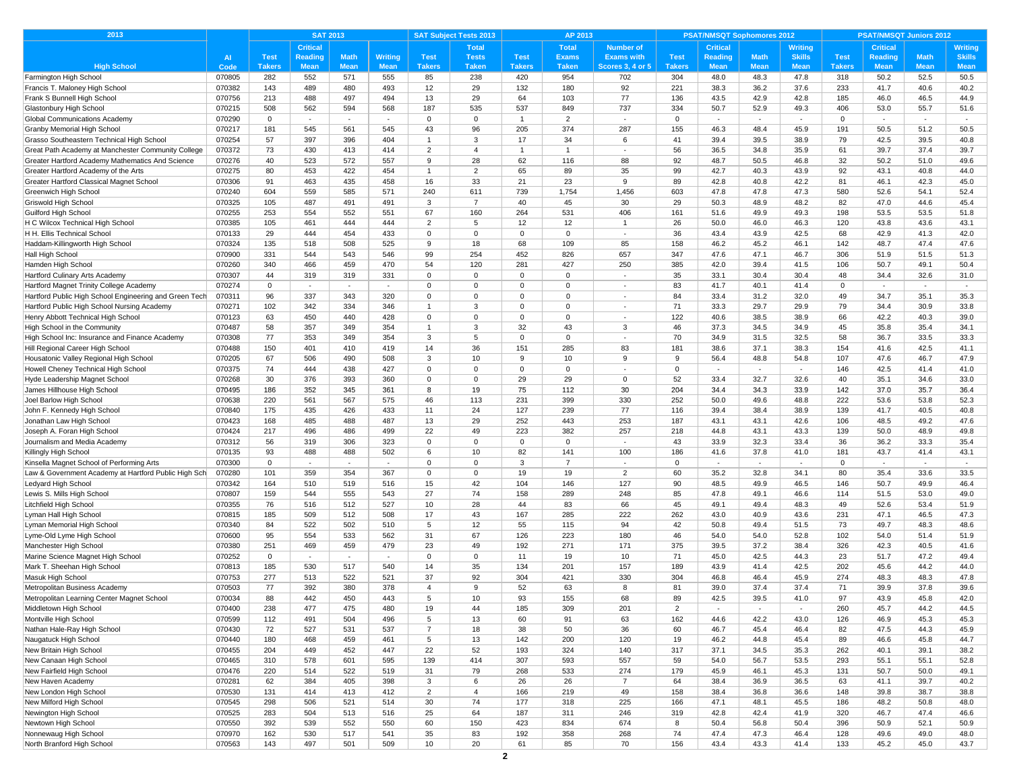| 2013                                                                                                   |                  | <b>SAT 2013</b> |                          |                | <b>SAT Subject Tests 2013</b><br>AP 2013 |                         |                     |                |                |                          | <b>PSAT/NMSQT Sophomores 2012</b> |                 |                          | <b>PSAT/NMSQT Juniors 2012</b> |               |                 |              |               |
|--------------------------------------------------------------------------------------------------------|------------------|-----------------|--------------------------|----------------|------------------------------------------|-------------------------|---------------------|----------------|----------------|--------------------------|-----------------------------------|-----------------|--------------------------|--------------------------------|---------------|-----------------|--------------|---------------|
|                                                                                                        |                  |                 | <b>Critical</b>          |                |                                          |                         | <b>Total</b>        |                | <b>Total</b>   | <b>Number of</b>         |                                   | <b>Critical</b> |                          | Writing                        |               | <b>Critical</b> |              | Writing       |
|                                                                                                        | AI.              | <b>Test</b>     | <b>Reading</b>           | <b>Math</b>    | <b>Writing</b>                           | <b>Test</b>             | <b>Tests</b>        | <b>Test</b>    | <b>Exams</b>   | <b>Exams with</b>        | <b>Test</b>                       | <b>Reading</b>  | <b>Math</b>              | <b>Skills</b>                  | <b>Test</b>   | <b>Reading</b>  | <b>Math</b>  | <b>Skills</b> |
| <b>High School</b>                                                                                     | Code             | Takers          | <b>Mean</b>              | <b>Mean</b>    | <b>Mean</b>                              | <b>Takers</b>           | <b>Taken</b>        | <b>Takers</b>  | <b>Taken</b>   | <b>Scores 3, 4 or 5</b>  | <b>Takers</b>                     | <b>Mean</b>     | <b>Mean</b>              | <b>Mean</b>                    | <b>Takers</b> | <b>Mean</b>     | <b>Mean</b>  | <b>Mean</b>   |
| Farmington High School                                                                                 | 070805           | 282             | 552                      | 571            | 555                                      | 85                      | 238                 | 420            | 954            | 702                      | 304                               | 48.0            | 48.3                     | 47.8                           | 318           | 50.2            | 52.5         | 50.5          |
| Francis T. Maloney High School                                                                         | 070382           | 143             | 489                      | 480            | 493                                      | 12                      | 29                  | 132            | 180            | 92                       | 221                               | 38.3            | 36.2                     | 37.6                           | 233           | 41.7            | 40.6         | 40.2          |
| Frank S Bunnell High School                                                                            | 070756           | 213             | 488                      | 497            | 494                                      | 13                      | 29                  | 64             | 103            | 77                       | 136                               | 43.5            | 42.9                     | 42.8                           | 185           | 46.0            | 46.5         | 44.9          |
| Glastonbury High School                                                                                | 070215           | 508             | 562                      | 594            | 568                                      | 187                     | 535                 | 537            | 849            | 737                      | 334                               | 50.7            | 52.9                     | 49.3                           | 406           | 53.0            | 55.7         | 51.6          |
| Global Communications Academy                                                                          | 070290           | 0               | $\sim$                   | $\blacksquare$ |                                          | 0                       | $^{\circ}$          |                | $\overline{2}$ | $\overline{\phantom{a}}$ | 0                                 | $\sim$          | $\overline{\phantom{a}}$ |                                | $^{\circ}$    |                 | $\sim$       | $\sim$        |
| Granby Memorial High School                                                                            | 070217           | 181             | 545                      | 561            | 545                                      | 43                      | 96                  | 205            | 374            | 287                      | 155                               | 46.3            | 48.4                     | 45.9                           | 191           | 50.5            | 51.2         | 50.5          |
| Grasso Southeastern Technical High School                                                              | 070254<br>070372 | 57<br>73        | 397<br>430               | 396<br>413     | 404<br>414                               | 1<br>$\overline{2}$     | 3<br>$\overline{4}$ | 17<br>1        | 34<br>-1       | 6<br>$\sim$              | 41<br>56                          | 39.4<br>36.5    | 39.5<br>34.8             | 38.9<br>35.9                   | 79<br>61      | 42.5<br>39.7    | 39.5<br>37.4 | 40.8<br>39.7  |
| Great Path Academy at Manchester Community College<br>Greater Hartford Academy Mathematics And Science | 070276           | 40              | 523                      | 572            | 557                                      | 9                       | 28                  | 62             | 116            | 88                       | 92                                | 48.7            | 50.5                     | 46.8                           | 32            | 50.2            | 51.0         | 49.6          |
|                                                                                                        | 070275           | 80              | 453                      | 422            | 454                                      | $\overline{1}$          | $\overline{2}$      | 65             | 89             | 35                       | 99                                | 42.7            | 40.3                     | 43.9                           | 92            | 43.1            | 40.8         | 44.0          |
| Greater Hartford Academy of the Arts<br>Greater Hartford Classical Magnet School                       | 070306           | 91              | 463                      | 435            | 458                                      | 16                      | 33                  | 21             | 23             | 9                        | 89                                | 42.8            | 40.8                     | 42.2                           | 81            | 46.1            | 42.3         | 45.0          |
| Greenwich High School                                                                                  | 070240           | 604             | 559                      | 585            | 571                                      | 240                     | 611                 | 739            | 1,754          | 1,456                    | 603                               | 47.8            | 47.8                     | 47.3                           | 580           | 52.6            | 54.1         | 52.4          |
| Griswold High School                                                                                   | 070325           | 105             | 487                      | 491            | 491                                      | 3                       | $\overline{7}$      | 40             | 45             | 30                       | 29                                | 50.3            | 48.9                     | 48.2                           | 82            | 47.0            | 44.6         | 45.4          |
| Guilford High School                                                                                   | 070255           | 253             | 554                      | 552            | 551                                      | 67                      | 160                 | 264            | 531            | 406                      | 161                               | 51.6            | 49.9                     | 49.3                           | 198           | 53.5            | 53.5         | 51.8          |
| H C Wilcox Technical High School                                                                       | 070385           | 105             | 461                      | 444            | 444                                      | $\overline{2}$          | 5                   | 12             | 12             | $\mathbf{1}$             | 26                                | 50.0            | 46.0                     | 46.3                           | 120           | 43.8            | 43.6         | 43.1          |
| H H. Ellis Technical School                                                                            | 070133           | 29              | 444                      | 454            | 433                                      | 0                       | $\mathbf 0$         | 0              | $\mathbf 0$    | $\sim$                   | 36                                | 43.4            | 43.9                     | 42.5                           | 68            | 42.9            | 41.3         | 42.0          |
| Haddam-Killingworth High School                                                                        | 070324           | 135             | 518                      | 508            | 525                                      | 9                       | 18                  | 68             | 109            | 85                       | 158                               | 46.2            | 45.2                     | 46.1                           | 142           | 48.7            | 47.4         | 47.6          |
| Hall High School                                                                                       | 070900           | 331             | 544                      | 543            | 546                                      | 99                      | 254                 | 452            | 826            | 657                      | 347                               | 47.6            | 47.1                     | 46.7                           | 306           | 51.9            | 51.5         | 51.3          |
| Hamden High School                                                                                     | 070260           | 340             | 466                      | 459            | 470                                      | 54                      | 120                 | 281            | 427            | 250                      | 385                               | 42.0            | 39.4                     | 41.5                           | 106           | 50.7            | 49.1         | 50.4          |
| Hartford Culinary Arts Academy                                                                         | 070307           | 44              | 319                      | 319            | 331                                      | 0                       | $\mathbf 0$         | $\mathbf 0$    | $\mathbf 0$    | $\overline{\phantom{a}}$ | 35                                | 33.1            | 30.4                     | 30.4                           | 48            | 34.4            | 32.6         | 31.0          |
| Hartford Magnet Trinity College Academy                                                                | 070274           | 0               | $\overline{\phantom{a}}$ | $\blacksquare$ | $\overline{\phantom{a}}$                 | $\Omega$                | $\mathbf 0$         | $\mathbf 0$    | $\mathbf 0$    | $\overline{\phantom{a}}$ | 83                                | 41.7            | 40.1                     | 41.4                           | $\mathbf 0$   |                 | $\sim$       | $\sim$        |
| Hartford Public High School Engineering and Green Tech                                                 | 070311           | 96              | 337                      | 343            | 320                                      | 0                       | $\mathbf 0$         | $\Omega$       | $\Omega$       | $\sim$                   | 84                                | 33.4            | 31.2                     | 32.0                           | 49            | 34.7            | 35.1         | 35.3          |
| Hartford Public High School Nursing Academy                                                            | 070271           | 102             | 342                      | 334            | 346                                      | 1                       | 3                   | $\Omega$       | $\Omega$       |                          | 71                                | 33.3            | 29.7                     | 29.9                           | 79            | 34.4            | 30.9         | 33.8          |
| Henry Abbott Technical High School                                                                     | 070123           | 63              | 450                      | 440            | 428                                      | 0                       | $\mathbf 0$         | $\mathbf 0$    | $\Omega$       | $\overline{\phantom{a}}$ | 122                               | 40.6            | 38.5                     | 38.9                           | 66            | 42.2            | 40.3         | 39.0          |
| High School in the Community                                                                           | 070487           | 58              | 357                      | 349            | 354                                      | 1                       | 3                   | 32             | 43             | 3                        | 46                                | 37.3            | 34.5                     | 34.9                           | 45            | 35.8            | 35.4         | 34.1          |
| High School Inc: Insurance and Finance Academy                                                         | 070308           | 77              | 353                      | 349            | 354                                      | 3                       | 5                   | $\Omega$       | $\Omega$       | $\sim$                   | 70                                | 34.9            | 31.5                     | 32.5                           | 58            | 36.7            | 33.5         | 33.3          |
| Hill Regional Career High School                                                                       | 070488           | 150             | 401                      | 410            | 419                                      | 14                      | 36                  | 151            | 285            | 83                       | 181                               | 38.6            | 37.1                     | 38.3                           | 154           | 41.6            | 42.5         | 41.1          |
| Housatonic Valley Regional High School                                                                 | 070205           | 67              | 506                      | 490            | 508                                      | 3                       | 10                  | 9              | 10             | 9                        | 9                                 | 56.4            | 48.8                     | 54.8                           | 107           | 47.6            | 46.7         | 47.9          |
| Howell Cheney Technical High School                                                                    | 070375           | 74              | 444                      | 438            | 427                                      | 0                       | $\mathbf 0$         | 0              | $\mathbf 0$    | $\blacksquare$           | $\mathbf 0$                       | $\sim$          | $\sim$                   | $\sim$                         | 146           | 42.5            | 41.4         | 41.0          |
| Hyde Leadership Magnet School                                                                          | 070268           | 30              | 376                      | 393            | 360                                      | 0                       | $\mathbf{0}$        | 29             | 29             | 0                        | 52                                | 33.4            | 32.7                     | 32.6                           | 40            | 35.1            | 34.6         | 33.0          |
| James Hillhouse High School                                                                            | 070495           | 186             | 352                      | 345            | 361                                      | 8                       | 19                  | 75             | 112            | 30                       | 204                               | 34.4            | 34.3                     | 33.9                           | 142           | 37.0            | 35.7         | 36.4          |
| Joel Barlow High School                                                                                | 070638           | 220             | 561                      | 567            | 575                                      | 46                      | 113                 | 231            | 399            | 330                      | 252                               | 50.0            | 49.6                     | 48.8                           | 222           | 53.6            | 53.8         | 52.3          |
| John F. Kennedy High School                                                                            | 070840           | 175             | 435                      | 426            | 433                                      | 11                      | 24                  | 127            | 239            | 77                       | 116                               | 39.4            | 38.4                     | 38.9                           | 139           | 41.7            | 40.5         | 40.8          |
| Jonathan Law High School                                                                               | 070423           | 168             | 485                      | 488            | 487                                      | 13                      | 29                  | 252            | 443            | 253                      | 187                               | 43.1            | 43.1                     | 42.6                           | 106           | 48.5            | 49.2         | 47.6          |
| Joseph A. Foran High School                                                                            | 070424           | 217             | 496                      | 486            | 499                                      | 22                      | 49                  | 223            | 382            | 257                      | 218                               | 44.8            | 43.1                     | 43.3                           | 139           | 50.0            | 48.9         | 49.8          |
| Journalism and Media Academy                                                                           | 070312           | 56              | 319                      | 306            | 323                                      | 0                       | $\mathbf 0$         | 0              | $\mathbf 0$    | $\sim$                   | 43                                | 33.9            | 32.3                     | 33.4                           | 36            | 36.2            | 33.3         | 35.4          |
| Killingly High School                                                                                  | 070135           | 93              | 488                      | 488            | 502                                      | 6                       | 10                  | 82             | 141            | 100                      | 186                               | 41.6            | 37.8                     | 41.0                           | 181           | 43.7            | 41.4         | 43.1          |
| Kinsella Magnet School of Performing Arts                                                              | 070300           | 0               | $\sim$                   | $\overline{a}$ | $\sim$                                   | $\Omega$                | $\mathbf 0$         | 3              | $\overline{7}$ | $\overline{\phantom{a}}$ | $\mathbf 0$                       | $\sim$          | $\sim$                   | $\sim$                         | $\mathbf 0$   | $\sim$          | $\sim$       | $\sim$        |
| Law & Government Academy at Hartford Public High Sch                                                   | 070280           | 101             | 359                      | 354            | 367                                      | $\mathbf{0}$            | $\mathbf 0$         | 19             | 19             | 2                        | 60<br>90                          | 35.2            | 32.8                     | 34.1                           | 80            | 35.4            | 33.6         | 33.5          |
| Ledyard High School                                                                                    | 070342           | 164<br>159      | 510<br>544               | 519<br>555     | 516<br>543                               | 15<br>27                | 42<br>74            | 104<br>158     | 146<br>289     | 127<br>248               | 85                                | 48.5<br>47.8    | 49.9<br>49.1             | 46.5<br>46.6                   | 146<br>114    | 50.7<br>51.5    | 49.9<br>53.0 | 46.4<br>49.0  |
| Lewis S. Mills High School<br>Litchfield High School                                                   | 070807<br>070355 | 76              | 516                      | 512            | 527                                      | 10                      | 28                  | 44             | 83             | 66                       | 45                                | 49.1            | 49.4                     | 48.3                           | 49            | 52.6            | 53.4         | 51.9          |
| Lyman Hall High Schoo                                                                                  | 070815           | 185             | 509                      | 512            | 508                                      | 17                      | 43                  | 167            | 285            | 222                      | 262                               | 43.0            | 40.9                     | 43.6                           | 231           | 47.1            | 46.5         | 47.3          |
| Lyman Memorial High School                                                                             | 070340           | 84              | 522                      | 502            | 510                                      | 5                       | 12                  | 55             | 115            | 94                       | 42                                | 50.8            | 49.4                     | 51.5                           | 73            | 49.7            | 48.3         | 48.6          |
| Lyme-Old Lyme High School                                                                              | 070600           | 95              | 554                      | 533            | 562                                      | 31                      | 67                  | 126            | 223            | 180                      | 46                                | 54.0            | 54.0                     | 52.8                           | 102           | 54.0            | 51.4         | 51.9          |
| Manchester High School                                                                                 | 070380           | 251             | 469                      | 459            | 479                                      | 23                      | 49                  | 192            | 271            | 171                      | 375                               | 39.5            | 37.2                     | 38.4                           | 326           | 42.3            | 40.5         | 41.6          |
| Marine Science Magnet High School                                                                      | 070252           | $\mathbf 0$     | $\sim$                   | $\sim$         | $\overline{\phantom{a}}$                 | $\mathbf{0}$            | $\mathbf 0$         | 11             | 19             | 10                       | 71                                | 45.0            | 42.5                     | 44.3                           | 23            | 51.7            | 47.2         | 49.4          |
| Mark T. Sheehan High School                                                                            | 070813           | 185             | 530                      | 517            | 540                                      | 14                      | 35                  | 134            | 201            | 157                      | 189                               | 43.9            | 41.4                     | 42.5                           | 202           | 45.6            | 44.2         | 44.0          |
| Masuk High School                                                                                      | 070753           | 277             | 513                      | 522            | 521                                      | 37                      | 92                  | 304            | 421            | 330                      | 304                               | 46.8            | 46.4                     | 45.9                           | 274           | 48.3            | 48.3         | 47.8          |
| Metropolitan Business Academy                                                                          | 070503           | 77              | 392                      | 380            | 378                                      | $\overline{\mathbf{4}}$ | 9                   | 52             | 63             | 8                        | 81                                | 39.0            | 37.4                     | 37.4                           | 71            | 39.9            | 37.8         | 39.6          |
| Metropolitan Learning Center Magnet School                                                             | 070034           | 88              | 442                      | 450            | 443                                      | 5                       | 10                  | 93             | 155            | 68                       | 89                                | 42.5            | 39.5                     | 41.0                           | 97            | 43.9            | 45.8         | 42.0          |
| Middletown High School                                                                                 | 070400           | 238             | 477                      | 475            | 480                                      | 19                      | 44                  | 185            | 309            | 201                      | $\overline{2}$                    | $\sim$          | $\sim$                   | $\sim$                         | 260           | 45.7            | 44.2         | 44.5          |
| Montville High School                                                                                  | 070599           | 112             | 491                      | 504            | 496                                      | 5                       | 13                  | 60             | 91             | 63                       | 162                               | 44.6            | 42.2                     | 43.0                           | 126           | 46.9            | 45.3         | 45.3          |
| Nathan Hale-Ray High School                                                                            | 070430           | 72              | 527                      | 531            | 537                                      | $\overline{7}$          | 18                  | 38             | 50             | 36                       | 60                                | 46.7            | 45.4                     | 46.4                           | 82            | 47.5            | 44.3         | 45.9          |
| Naugatuck High School                                                                                  | 070440           | 180             | 468                      | 459            | 461                                      | 5                       | 13                  | 142            | 200            | 120                      | 19                                | 46.2            | 44.8                     | 45.4                           | 89            | 46.6            | 45.8         | 44.7          |
| New Britain High School                                                                                | 070455           | 204             | 449                      | 452            | 447                                      | 22                      | 52                  | 193            | 324            | 140                      | 317                               | 37.1            | 34.5                     | 35.3                           | 262           | 40.1            | 39.1         | 38.2          |
| New Canaan High School                                                                                 | 070465           | 310             | 578                      | 601            | 595                                      | 139                     | 414                 | 307            | 593            | 557                      | 59                                | 54.0            | 56.7                     | 53.5                           | 293           | 55.1            | 55.1         | 52.8          |
| New Fairfield High School                                                                              | 070476           | 220             | 514                      | 522            | 519                                      | 31                      | 79                  | 268            | 533            | 274                      | 179                               | 45.9            | 46.1                     | 45.3                           | 131           | 50.7            | 50.0         | 49.1          |
| New Haven Academy                                                                                      | 070281           | 62              | 384                      | 405            | 398                                      | 3                       | 6                   | 26             | 26             | $\overline{7}$           | 64                                | 38.4            | 36.9                     | 36.5                           | 63            | 41.1            | 39.7         | 40.2          |
| New London High School                                                                                 | 070530           | 131             | 414                      | 413            | 412                                      | $\overline{2}$          | $\overline{4}$      | 166            | 219            | 49                       | 158                               | 38.4            | 36.8                     | 36.6                           | 148           | 39.8            | 38.7         | 38.8          |
| New Milford High School                                                                                | 070545           | 298             | 506                      | 521            | 514                                      | 30                      | 74                  | 177            | 318            | 225                      | 166                               | 47.1            | 48.1                     | 45.5                           | 186           | 48.2            | 50.8         | 48.0          |
| Newington High School                                                                                  | 070525           | 283             | 504                      | 513            | 516                                      | 25                      | 64                  | 187            | 311            | 246                      | 319                               | 42.8            | 42.4                     | 41.9                           | 320           | 46.7            | 47.4         | 46.6          |
| Newtown High School                                                                                    | 070550           | 392             | 539                      | 552            | 550                                      | 60                      | 150                 | 423            | 834            | 674                      | 8                                 | 50.4            | 56.8                     | 50.4                           | 396           | 50.9            | 52.1         | 50.9          |
| Nonnewaug High School                                                                                  | 070970           | 162             | 530                      | 517            | 541                                      | 35                      | 83                  | 192            | 358            | 268                      | 74                                | 47.4            | 47.3                     | 46.4                           | 128           | 49.6            | 49.0         | 48.0          |
| North Branford High School                                                                             | 070563           | 143             | 497                      | 501            | 509                                      | 10                      | 20                  | 61             | 85             | 70                       | 156                               | 43.4            | 43.3                     | 41.4                           | 133           | 45.2            | 45.0         | 43.7          |
|                                                                                                        |                  |                 |                          |                |                                          |                         |                     | $\overline{2}$ |                |                          |                                   |                 |                          |                                |               |                 |              |               |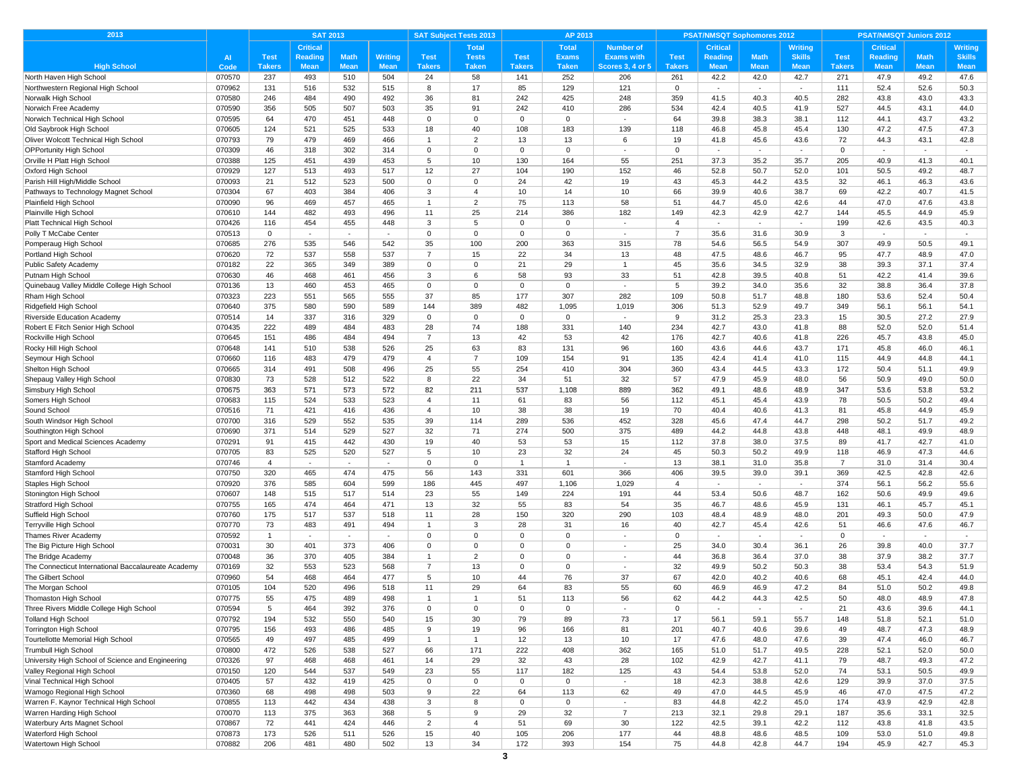| 2013                                                                  |                  | <b>SAT 2013</b> |                 |             | <b>SAT Subject Tests 2013</b><br>AP 2013 |                |                |               |                |                          | <b>PSAT/NMSQT Sophomores 2012</b> |                 |                                  | <b>PSAT/NMSQT Juniors 2012</b>   |                |                 |              |                |
|-----------------------------------------------------------------------|------------------|-----------------|-----------------|-------------|------------------------------------------|----------------|----------------|---------------|----------------|--------------------------|-----------------------------------|-----------------|----------------------------------|----------------------------------|----------------|-----------------|--------------|----------------|
|                                                                       |                  |                 | <b>Critical</b> |             |                                          |                | <b>Total</b>   |               | <b>Total</b>   | <b>Number of</b>         |                                   | <b>Critical</b> |                                  | Writing                          |                | <b>Critical</b> |              | <b>Writing</b> |
|                                                                       | AI               | <b>Test</b>     | <b>Reading</b>  | <b>Math</b> | <b>Writing</b>                           | <b>Test</b>    | <b>Tests</b>   | <b>Test</b>   | <b>Exams</b>   | <b>Exams with</b>        | <b>Test</b>                       | <b>Reading</b>  | <b>Math</b>                      | <b>Skills</b>                    | <b>Test</b>    | <b>Reading</b>  | <b>Math</b>  | <b>Skills</b>  |
| <b>High School</b>                                                    | Code             | <b>Takers</b>   | <b>Mean</b>     | <b>Mean</b> | <b>Mean</b>                              | <b>Takers</b>  | <b>Taken</b>   | <b>Takers</b> | <b>Taken</b>   | <b>Scores 3, 4 or 5</b>  | <b>Takers</b>                     | <b>Mean</b>     | <b>Mean</b>                      | <b>Mean</b>                      | <b>Takers</b>  | <b>Mean</b>     | <b>Mean</b>  | <b>Mean</b>    |
| North Haven High School                                               | 070570           | 237             | 493             | 510         | 504                                      | 24             | 58             | 141           | 252            | 206                      | 261                               | 42.2            | 42.0                             | 42.7                             | 271            | 47.9            | 49.2         | 47.6           |
| Northwestern Regional High School                                     | 070962           | 131             | 516             | 532         | 515                                      | 8              | 17             | 85            | 129            | 121                      | $\mathbf 0$                       | $\sim$          | $\sim$                           | $\sim$                           | 111            | 52.4            | 52.6         | 50.3           |
| Norwalk High School                                                   | 070580           | 246             | 484             | 490         | 492                                      | 36             | 81             | 242           | 425            | 248                      | 359                               | 41.5            | 40.3                             | 40.5                             | 282            | 43.8            | 43.0         | 43.3           |
| Norwich Free Academy                                                  | 070590           | 356             | 505             | 507         | 503                                      | 35             | 91             | 242           | 410            | 286                      | 534                               | 42.4            | 40.5                             | 41.9                             | 527            | 44.5            | 43.1         | 44.0           |
| Norwich Technical High School                                         | 070595           | 64              | 470             | 451         | 448                                      | 0              | $\mathbf 0$    | $\mathbf 0$   | $\mathbf 0$    | $\sim$                   | 64                                | 39.8            | 38.3                             | 38.1                             | 112            | 44.1            | 43.7         | 43.2           |
| Old Saybrook High Schoo                                               | 070605           | 124             | 521             | 525         | 533                                      | 18             | 40             | 108           | 183            | 139                      | 118                               | 46.8            | 45.8                             | 45.4                             | 130            | 47.2            | 47.5         | 47.3           |
| Oliver Wolcott Technical High School                                  | 070793           | 79              | 479             | 469         | 466                                      | 1              | $\overline{2}$ | 13            | 13             | 6                        | 19                                | 41.8            | 45.6                             | 43.6                             | 72             | 44.3            | 43.1         | 42.8           |
| <b>OPPortunity High School</b>                                        | 070309           | 46              | 318             | 302         | 314                                      | 0              | $^{\circ}$     | $\mathbf 0$   | $\mathbf 0$    | $\overline{\phantom{a}}$ | 0                                 |                 | $\overline{\phantom{a}}$         | $\overline{\phantom{a}}$         | $\mathbf 0$    |                 |              | $\sim$         |
| Orville H Platt High School                                           | 070388           | 125<br>127      | 451<br>513      | 439         | 453<br>517                               | 5<br>12        | 10<br>27       | 130           | 164            | 55<br>152                | 251<br>46                         | 37.3            | 35.2                             | 35.7<br>52.0                     | 205            | 40.9            | 41.3         | 40.1           |
| Oxford High School                                                    | 070929<br>070093 | 21              |                 | 493<br>523  | 500                                      | $\Omega$       | $\mathbf 0$    | 104<br>24     | 190<br>42      | 19                       | 43                                | 52.8<br>45.3    | 50.7<br>44.2                     |                                  | 101<br>32      | 50.5<br>46.1    | 49.2<br>46.3 | 48.7<br>43.6   |
| Parish Hill High/Middle School<br>Pathways to Technology Magnet Schoo | 070304           | 67              | 512<br>403      | 384         | 406                                      | 3              | $\overline{4}$ | 10            | 14             | 10                       | 66                                | 39.9            | 40.6                             | 43.5<br>38.7                     | 69             | 42.2            | 40.7         | 41.5           |
| Plainfield High School                                                | 070090           | 96              | 469             | 457         | 465                                      | $\overline{1}$ | $\overline{2}$ | 75            | 113            | 58                       | 51                                | 44.7            | 45.0                             | 42.6                             | 44             | 47.0            | 47.6         | 43.8           |
| Plainville High School                                                | 070610           | 144             | 482             | 493         | 496                                      | 11             | 25             | 214           | 386            | 182                      | 149                               | 42.3            | 42.9                             | 42.7                             | 144            | 45.5            | 44.9         | 45.9           |
| Platt Technical High School                                           | 070426           | 116             | 454             | 455         | 448                                      | 3              | 5              | $\Omega$      | $\Omega$       | $\overline{\phantom{a}}$ | $\overline{4}$                    | $\sim$          | $\sim$                           | ×                                | 199            | 42.6            | 43.5         | 40.3           |
| Polly T McCabe Center                                                 | 070513           | $\mathbf 0$     | $\sim$          | $\sim$      | $\sim$                                   | $\mathbf 0$    | $\mathbf 0$    | $\mathbf 0$   | $\mathbf 0$    | $\overline{\phantom{a}}$ | $\overline{7}$                    | 35.6            | 31.6                             | 30.9                             | 3              | $\sim$          | $\sim$       | $\sim$         |
| Pomperaug High School                                                 | 070685           | 276             | 535             | 546         | 542                                      | 35             | 100            | 200           | 363            | 315                      | 78                                | 54.6            | 56.5                             | 54.9                             | 307            | 49.9            | 50.5         | 49.1           |
| Portland High School                                                  | 070620           | 72              | 537             | 558         | 537                                      | $\overline{7}$ | 15             | 22            | 34             | 13                       | 48                                | 47.5            | 48.6                             | 46.7                             | 95             | 47.7            | 48.9         | 47.0           |
| Public Safety Academy                                                 | 070182           | 22              | 365             | 349         | 389                                      | 0              | $\mathbf 0$    | 21            | 29             | 1                        | 45                                | 35.6            | 34.5                             | 32.9                             | 38             | 39.3            | 37.1         | 37.4           |
| Putnam High School                                                    | 070630           | 46              | 468             | 461         | 456                                      | 3              | 6              | 58            | 93             | 33                       | 51                                | 42.8            | 39.5                             | 40.8                             | 51             | 42.2            | 41.4         | 39.6           |
| Quinebaug Valley Middle College High School                           | 070136           | 13              | 460             | 453         | 465                                      | $\mathbf 0$    | $\mathbf 0$    | $\mathbf 0$   | $\mathbf 0$    | $\overline{\phantom{a}}$ | 5                                 | 39.2            | 34.0                             | 35.6                             | 32             | 38.8            | 36.4         | 37.8           |
| Rham High School                                                      | 070323           | 223             | 551             | 565         | 555                                      | 37             | 85             | 177           | 307            | 282                      | 109                               | 50.8            | 51.7                             | 48.8                             | 180            | 53.6            | 52.4         | 50.4           |
| Ridgefield High School                                                | 070640           | 375             | 580             | 590         | 589                                      | 144            | 389            | 482           | 1,095          | 1,019                    | 306                               | 51.3            | 52.9                             | 49.7                             | 349            | 56.1            | 56.1         | 54.1           |
| Riverside Education Academy                                           | 070514           | 14              | 337             | 316         | 329                                      | $\mathbf 0$    | $\mathbf 0$    | $\mathbf 0$   | $\mathbf 0$    |                          | 9                                 | 31.2            | 25.3                             | 23.3                             | 15             | 30.5            | 27.2         | 27.9           |
| Robert E Fitch Senior High School                                     | 070435           | 222             | 489             | 484         | 483                                      | 28             | 74             | 188           | 331            | 140                      | 234                               | 42.7            | 43.0                             | 41.8                             | 88             | 52.0            | 52.0         | 51.4           |
| Rockville High School                                                 | 070645           | 151             | 486             | 484         | 494                                      | $\overline{7}$ | 13             | 42            | 53             | 42                       | 176                               | 42.7            | 40.6                             | 41.8                             | 226            | 45.7            | 43.8         | 45.0           |
| Rocky Hill High School                                                | 070648           | 141             | 510             | 538         | 526                                      | 25             | 63             | 83            | 131            | 96                       | 160                               | 43.6            | 44.6                             | 43.7                             | 171            | 45.8            | 46.0         | 46.1           |
| Seymour High School                                                   | 070660           | 116             | 483             | 479         | 479                                      | 4              | $\overline{7}$ | 109           | 154            | 91                       | 135                               | 42.4            | 41.4                             | 41.0                             | 115            | 44.9            | 44.8         | 44.1           |
| Shelton High School                                                   | 070665           | 314             | 491             | 508         | 496                                      | 25             | 55             | 254           | 410            | 304                      | 360                               | 43.4            | 44.5                             | 43.3                             | 172            | 50.4            | 51.1         | 49.9           |
| Shepaug Valley High School                                            | 070830           | 73              | 528             | 512         | 522                                      | 8              | 22             | 34            | 51             | 32                       | 57                                | 47.9            | 45.9                             | 48.0                             | 56             | 50.9            | 49.0         | 50.0           |
| Simsbury High School                                                  | 070675           | 363             | 571             | 573         | 572                                      | 82             | 211            | 537           | 1,108          | 889                      | 362                               | 49.1            | 48.6                             | 48.9                             | 347            | 53.6            | 53.8         | 53.2           |
| Somers High School                                                    | 070683           | 115             | 524             | 533         | 523                                      | $\overline{4}$ | 11             | 61            | 83             | 56                       | 112                               | 45.1            | 45.4                             | 43.9                             | 78             | 50.5            | 50.2         | 49.4           |
| Sound School                                                          | 070516           | 71              | 421             | 416         | 436                                      | $\overline{4}$ | 10             | 38            | 38             | 19                       | 70                                | 40.4            | 40.6                             | 41.3                             | 81             | 45.8            | 44.9         | 45.9           |
| South Windsor High School                                             | 070700           | 316             | 529             | 552         | 535                                      | 39             | 114            | 289           | 536            | 452                      | 328                               | 45.6            | 47.4                             | 44.7                             | 298            | 50.2            | 51.7         | 49.2           |
| Southington High School                                               | 070690           | 371             | 514             | 529         | 527                                      | 32             | 71             | 274           | 500            | 375                      | 489                               | 44.2            | 44.8                             | 43.8                             | 448            | 48.1            | 49.9         | 48.9           |
| Sport and Medical Sciences Academy                                    | 070291           | 91              | 415             | 442         | 430                                      | 19             | 40             | 53            | 53             | 15                       | 112                               | 37.8            | 38.0                             | 37.5                             | 89             | 41.7            | 42.7         | 41.0           |
| Stafford High School                                                  | 070705           | 83              | 525             | 520         | 527                                      | 5              | 10             | 23            | 32             | 24                       | 45                                | 50.3            | 50.2                             | 49.9                             | 118            | 46.9            | 47.3         | 44.6           |
| Stamford Academy                                                      | 070746           | $\overline{4}$  | $\sim$          | $\sim$      | $\sim$                                   | $\mathbf 0$    | $\mathbf 0$    | $\mathbf{1}$  | $\overline{1}$ | $\sim$                   | 13                                | 38.1            | 31.0                             | 35.8                             | $\overline{7}$ | 31.0            | 31.4         | 30.4           |
| Stamford High School                                                  | 070750           | 320<br>376      | 465<br>585      | 474<br>604  | 475<br>599                               | 56<br>186      | 143<br>445     | 331<br>497    | 601<br>1,106   | 366                      | 406<br>$\overline{4}$             | 39.5            | 39.0<br>$\overline{\phantom{a}}$ | 39.1<br>$\overline{\phantom{a}}$ | 369<br>374     | 42.5<br>56.1    | 42.8         | 42.6<br>55.6   |
| Staples High School                                                   | 070920<br>070607 | 148             | 515             | 517         | 514                                      | 23             | 55             | 149           | 224            | 1,029<br>191             | 44                                | $\sim$<br>53.4  | 50.6                             | 48.7                             | 162            | 50.6            | 56.2<br>49.9 | 49.6           |
| Stonington High School<br><b>Stratford High School</b>                | 070755           | 165             | 474             | 464         | 471                                      | 13             | 32             | 55            | 83             | 54                       | 35                                | 46.7            | 48.6                             | 45.9                             | 131            | 46.1            | 45.7         | 45.1           |
| Suffield High School                                                  | 070760           | 175             | 517             | 537         | 518                                      | 11             | 28             | 150           | 320            | 290                      | 103                               | 48.4            | 48.9                             | 48.0                             | 201            | 49.3            | 50.0         | 47.9           |
| Terryville High Schoo                                                 | 070770           | 73              | 483             | 491         | 494                                      | 1              | 3              | 28            | 31             | 16                       | 40                                | 42.7            | 45.4                             | 42.6                             | 51             | 46.6            | 47.6         | 46.7           |
| Thames River Academy                                                  | 070592           | $\overline{1}$  | $\sim$          | $\sim$      | $\sim$                                   | $\Omega$       | $\Omega$       | $\Omega$      | $\Omega$       |                          | $\Omega$                          | $\sim$          | $\sim$                           | $\sim$                           | $\mathbf 0$    | $\sim$          | $\sim$       | $\sim$         |
| The Big Picture High School                                           | 070031           | 30              | 401             | 373         | 406                                      | $\mathbf 0$    | $\mathbf 0$    | 0             | $\mathbf 0$    | $\overline{\phantom{a}}$ | 25                                | 34.0            | 30.4                             | 36.1                             | 26             | 39.8            | 40.0         | 37.7           |
| The Bridge Academy                                                    | 070048           | 36              | 370             | 405         | 384                                      | 1              | $\overline{2}$ | $\Omega$      | $\Omega$       | ٠                        | 44                                | 36.8            | 36.4                             | 37.0                             | 38             | 37.9            | 38.2         | 37.7           |
| The Connecticut International Baccalaureate Academy                   | 070169           | 32              | 553             | 523         | 568                                      | $\overline{7}$ | 13             | $\mathbf 0$   | $\mathbf 0$    | $\sim$                   | 32                                | 49.9            | 50.2                             | 50.3                             | 38             | 53.4            | 54.3         | 51.9           |
| The Gilbert School                                                    | 070960           | 54              | 468             | 464         | 477                                      | 5              | 10             | 44            | 76             | 37                       | 67                                | 42.0            | 40.2                             | 40.6                             | 68             | 45.1            | 42.4         | 44.0           |
| The Morgan School                                                     | 070105           | 104             | 520             | 496         | 518                                      | 11             | 29             | 64            | 83             | 55                       | 60                                | 46.9            | 46.9                             | 47.2                             | 84             | 51.0            | 50.2         | 49.8           |
| <b>Thomaston High School</b>                                          | 070775           | 55              | 475             | 489         | 498                                      |                |                | 51            | 113            | 56                       | 62                                | 44.2            | 44.3                             | 42.5                             | 50             | 48.0            | 48.9         | 47.8           |
| Three Rivers Middle College High School                               | 070594           | 5               | 464             | 392         | 376                                      | 0              | $\mathbf 0$    | $\Omega$      | 0              | $\sim$                   | $\mathbf 0$                       | $\sim$          | $\sim$                           | $\sim$                           | 21             | 43.6            | 39.6         | 44.1           |
| <b>Tolland High School</b>                                            | 070792           | 194             | 532             | 550         | 540                                      | 15             | 30             | 79            | 89             | 73                       | 17                                | 56.1            | 59.1                             | 55.7                             | 148            | 51.8            | 52.1         | 51.0           |
| Torrington High School                                                | 070795           | 156             | 493             | 486         | 485                                      | 9              | 19             | 96            | 166            | 81                       | 201                               | 40.7            | 40.6                             | 39.6                             | 49             | 48.7            | 47.3         | 48.9           |
| Tourtellotte Memorial High School                                     | 070565           | 49              | 497             | 485         | 499                                      | $\mathbf{1}$   | $\overline{1}$ | 12            | 13             | 10                       | 17                                | 47.6            | 48.0                             | 47.6                             | 39             | 47.4            | 46.0         | 46.7           |
| Trumbull High School                                                  | 070800           | 472             | 526             | 538         | 527                                      | 66             | 171            | 222           | 408            | 362                      | 165                               | 51.0            | 51.7                             | 49.5                             | 228            | 52.1            | 52.0         | 50.0           |
| University High School of Science and Engineering                     | 070326           | 97              | 468             | 468         | 461                                      | 14             | 29             | 32            | 43             | 28                       | 102                               | 42.9            | 42.7                             | 41.1                             | 79             | 48.7            | 49.3         | 47.2           |
| Valley Regional High School                                           | 070150           | 120             | 544             | 537         | 549                                      | 23             | 55             | 117           | 182            | 125                      | 43                                | 54.4            | 53.8                             | 52.0                             | 74             | 53.1            | 50.5         | 49.9           |
| Vinal Technical High School                                           | 070405           | 57              | 432             | 419         | 425                                      | $\mathbf 0$    | $\mathsf 0$    | $\mathbf{0}$  | $\mathsf 0$    | $\sim$                   | 18                                | 42.3            | 38.8                             | 42.6                             | 129            | 39.9            | 37.0         | 37.5           |
| Wamogo Regional High School                                           | 070360           | 68              | 498             | 498         | 503                                      | 9              | 22             | 64            | 113            | 62                       | 49                                | 47.0            | 44.5                             | 45.9                             | 46             | 47.0            | 47.5         | 47.2           |
| Warren F. Kaynor Technical High School                                | 070855           | 113             | 442             | 434         | 438                                      | 3              | 8              | $\mathbf 0$   | $\mathbf 0$    | $\sim$                   | 83                                | 44.8            | 42.2                             | 45.0                             | 174            | 43.9            | 42.9         | 42.8           |
| Warren Harding High School                                            | 070070           | 113             | 375             | 363         | 368                                      | 5              | 9              | 29            | 32             | $\overline{7}$           | 213                               | 32.1            | 29.8                             | 29.1                             | 187            | 35.6            | 33.1         | 32.5           |
| Waterbury Arts Magnet School                                          | 070867           | 72              | 441             | 424         | 446                                      | $\overline{2}$ | $\overline{4}$ | 51            | 69             | 30                       | 122                               | 42.5            | 39.1                             | 42.2                             | 112            | 43.8            | 41.8         | 43.5           |
| Waterford High School                                                 | 070873           | 173             | 526             | 511         | 526                                      | 15             | 40             | 105           | 206            | 177                      | 44                                | 48.8            | 48.6                             | 48.5                             | 109            | 53.0            | 51.0         | 49.8           |
| Watertown High School                                                 | 070882           | 206             | 481             | 480         | 502                                      | 13             | 34             | 172           | 393            | 154                      | 75                                | 44.8            | 42.8                             | 44.7                             | 194            | 45.9            | 42.7         | 45.3           |